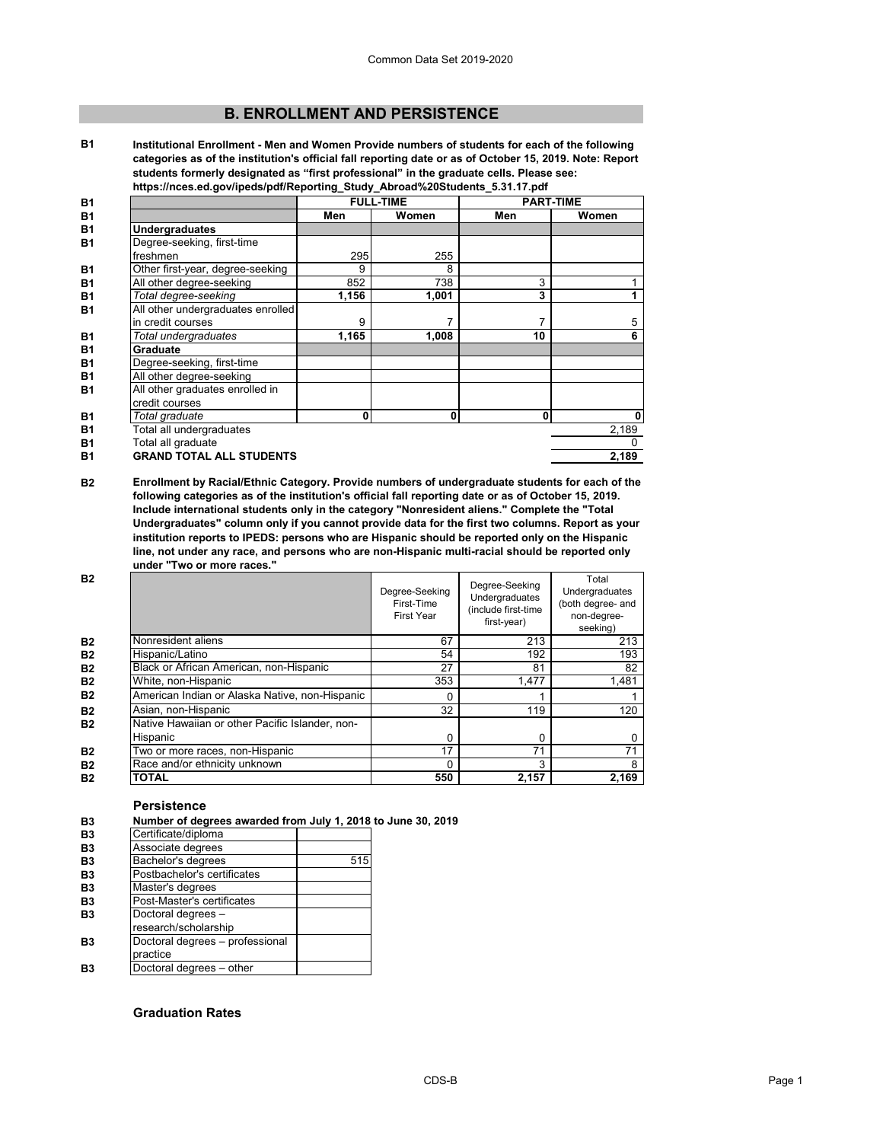# **B. ENROLLMENT AND PERSISTENCE**

**B1 Institutional Enrollment - Men and Women Provide numbers of students for each of the following categories as of the institution's official fall reporting date or as of October 15, 2019. Note: Report students formerly designated as "first professional" in the graduate cells. Please see: https://nces.ed.gov/ipeds/pdf/Reporting\_Study\_Abroad%20Students\_5.31.17.pdf**

| <b>B1</b> |                                                   |       | <b>FULL-TIME</b> | <b>PART-TIME</b> |          |
|-----------|---------------------------------------------------|-------|------------------|------------------|----------|
| <b>B1</b> |                                                   | Men   | Women            | Men              | Women    |
| <b>B1</b> | <b>Undergraduates</b>                             |       |                  |                  |          |
| <b>B1</b> | Degree-seeking, first-time                        |       |                  |                  |          |
|           | freshmen                                          | 295   | 255              |                  |          |
| <b>B1</b> | Other first-year, degree-seeking                  | 9     | 8                |                  |          |
| <b>B1</b> | All other degree-seeking                          | 852   | 738              | 3                |          |
| <b>B1</b> | Total degree-seeking                              | 1,156 | 1,001            | 3                |          |
| <b>B1</b> | All other undergraduates enrolled                 |       |                  |                  |          |
|           | in credit courses                                 | 9     |                  |                  | 5        |
| <b>B1</b> | Total undergraduates                              | 1,165 | 1,008            | 10               | 6        |
| <b>B1</b> | Graduate                                          |       |                  |                  |          |
| <b>B1</b> | Degree-seeking, first-time                        |       |                  |                  |          |
| <b>B1</b> | All other degree-seeking                          |       |                  |                  |          |
| <b>B1</b> | All other graduates enrolled in<br>credit courses |       |                  |                  |          |
| <b>B1</b> | Total graduate                                    | 0     | 0                | 0                | 0        |
| <b>B1</b> | Total all undergraduates                          |       |                  |                  | 2,189    |
| <b>B1</b> | Total all graduate                                |       |                  |                  | $\Omega$ |
| <b>B1</b> | <b>GRAND TOTAL ALL STUDENTS</b>                   |       |                  |                  | 2,189    |
|           |                                                   |       |                  |                  |          |

**B2 Enrollment by Racial/Ethnic Category. Provide numbers of undergraduate students for each of the following categories as of the institution's official fall reporting date or as of October 15, 2019. Include international students only in the category "Nonresident aliens." Complete the "Total Undergraduates" column only if you cannot provide data for the first two columns. Report as your institution reports to IPEDS: persons who are Hispanic should be reported only on the Hispanic line, not under any race, and persons who are non-Hispanic multi-racial should be reported only under "Two or more races."** 

| <b>B2</b> |                                                 | Degree-Seeking<br>First-Time<br><b>First Year</b> | Degree-Seeking<br>Undergraduates<br>(include first-time<br>first-year) | Total<br>Undergraduates<br>(both degree- and<br>non-degree-<br>seeking) |
|-----------|-------------------------------------------------|---------------------------------------------------|------------------------------------------------------------------------|-------------------------------------------------------------------------|
| <b>B2</b> | Nonresident aliens                              | 67                                                | 213                                                                    | 213                                                                     |
| <b>B2</b> | Hispanic/Latino                                 | 54                                                | 192                                                                    | 193                                                                     |
| <b>B2</b> | Black or African American, non-Hispanic         | 27                                                | 81                                                                     | 82                                                                      |
| <b>B2</b> | White, non-Hispanic                             | 353                                               | 1,477                                                                  | 1,481                                                                   |
| <b>B2</b> | American Indian or Alaska Native, non-Hispanic  | ი                                                 |                                                                        |                                                                         |
| <b>B2</b> | Asian, non-Hispanic                             | 32                                                | 119                                                                    | 120                                                                     |
| <b>B2</b> | Native Hawaiian or other Pacific Islander, non- |                                                   |                                                                        |                                                                         |
|           | Hispanic                                        | 0                                                 | 0                                                                      | 0                                                                       |
| <b>B2</b> | Two or more races, non-Hispanic                 | 17                                                | 71                                                                     | 71                                                                      |
| <b>B2</b> | Race and/or ethnicity unknown                   | ი                                                 | 3                                                                      | 8                                                                       |
| <b>B2</b> | <b>TOTAL</b>                                    | 550                                               | 2,157                                                                  | 2.169                                                                   |

## **Persistence**

| B <sub>3</sub> | Number of degrees awarded from July 1, 2018 to June 30, 2019 |     |  |
|----------------|--------------------------------------------------------------|-----|--|
| B <sub>3</sub> | Certificate/diploma                                          |     |  |
| B <sub>3</sub> | Associate degrees                                            |     |  |
| B <sub>3</sub> | Bachelor's degrees                                           | 515 |  |
| B <sub>3</sub> | Postbachelor's certificates                                  |     |  |
| B <sub>3</sub> | Master's degrees                                             |     |  |
| B <sub>3</sub> | Post-Master's certificates                                   |     |  |
| B <sub>3</sub> | Doctoral degrees -                                           |     |  |
|                | research/scholarship                                         |     |  |
| B3             | Doctoral degrees - professional                              |     |  |
|                | practice                                                     |     |  |
| B3             | Doctoral degrees - other                                     |     |  |

# **Graduation Rates**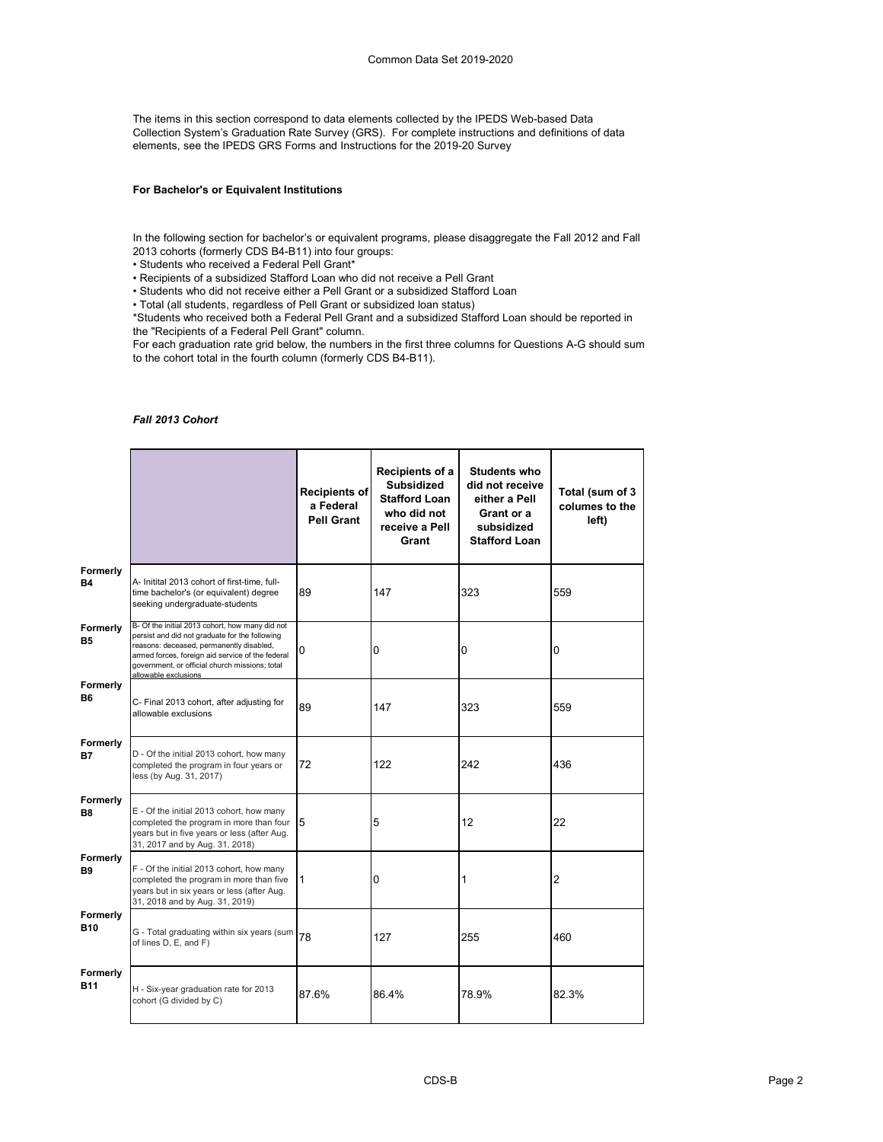The items in this section correspond to data elements collected by the IPEDS Web-based Data Collection System's Graduation Rate Survey (GRS). For complete instructions and definitions of data elements, see the IPEDS GRS Forms and Instructions for the 2019-20 Survey

## **For Bachelor's or Equivalent Institutions**

In the following section for bachelor's or equivalent programs, please disaggregate the Fall 2012 and Fall 2013 cohorts (formerly CDS B4-B11) into four groups:

• Students who received a Federal Pell Grant\*

• Recipients of a subsidized Stafford Loan who did not receive a Pell Grant

• Students who did not receive either a Pell Grant or a subsidized Stafford Loan

• Total (all students, regardless of Pell Grant or subsidized loan status)

\*Students who received both a Federal Pell Grant and a subsidized Stafford Loan should be reported in the "Recipients of a Federal Pell Grant" column.

For each graduation rate grid below, the numbers in the first three columns for Questions A-G should sum to the cohort total in the fourth column (formerly CDS B4-B11).

#### *Fall 2013 Cohort*

|                        |                                                                                                                                                                                                                                                                             | <b>Recipients of</b><br>a Federal<br>Pell Grant | Recipients of a<br><b>Subsidized</b><br><b>Stafford Loan</b><br>who did not<br>receive a Pell<br>Grant | <b>Students who</b><br>did not receive<br>either a Pell<br>Grant or a<br>subsidized<br><b>Stafford Loan</b> | Total (sum of 3<br>columes to the<br>left) |
|------------------------|-----------------------------------------------------------------------------------------------------------------------------------------------------------------------------------------------------------------------------------------------------------------------------|-------------------------------------------------|--------------------------------------------------------------------------------------------------------|-------------------------------------------------------------------------------------------------------------|--------------------------------------------|
| Formerly<br><b>B4</b>  | A- Initital 2013 cohort of first-time, full-<br>time bachelor's (or equivalent) degree<br>seeking undergraduate-students                                                                                                                                                    | 89                                              | 147                                                                                                    | 323                                                                                                         | 559                                        |
| Formerly<br>В5         | B- Of the initial 2013 cohort, how many did not<br>persist and did not graduate for the following<br>reasons: deceased, permanently disabled,<br>armed forces, foreign aid service of the federal<br>government, or official church missions; total<br>allowable exclusions | 0                                               | 0                                                                                                      | 0                                                                                                           | 0                                          |
| Formerly<br>Β6         | C- Final 2013 cohort, after adjusting for<br>allowable exclusions                                                                                                                                                                                                           | 89                                              | 147                                                                                                    | 323                                                                                                         | 559                                        |
| Formerly<br>В7         | D - Of the initial 2013 cohort, how many<br>completed the program in four years or<br>less (by Aug. 31, 2017)                                                                                                                                                               | 72                                              | 122                                                                                                    | 242                                                                                                         | 436                                        |
| Formerly<br>B8         | E - Of the initial 2013 cohort, how many<br>completed the program in more than four<br>years but in five years or less (after Aug.<br>31, 2017 and by Aug. 31, 2018)                                                                                                        | 5                                               | 5                                                                                                      | 12                                                                                                          | 22                                         |
| Formerly<br>B9         | F - Of the initial 2013 cohort, how many<br>completed the program in more than five<br>years but in six years or less (after Aug.<br>31, 2018 and by Aug. 31, 2019)                                                                                                         | $\mathbf{1}$                                    | 0                                                                                                      | 1                                                                                                           | $\overline{2}$                             |
| Formerly<br>B10        | G - Total graduating within six years (sum<br>of lines D, E, and F)                                                                                                                                                                                                         | 78                                              | 127                                                                                                    | 255                                                                                                         | 460                                        |
| Formerly<br><b>B11</b> | H - Six-year graduation rate for 2013<br>cohort (G divided by C)                                                                                                                                                                                                            | 87.6%                                           | 86.4%                                                                                                  | 78.9%                                                                                                       | 82.3%                                      |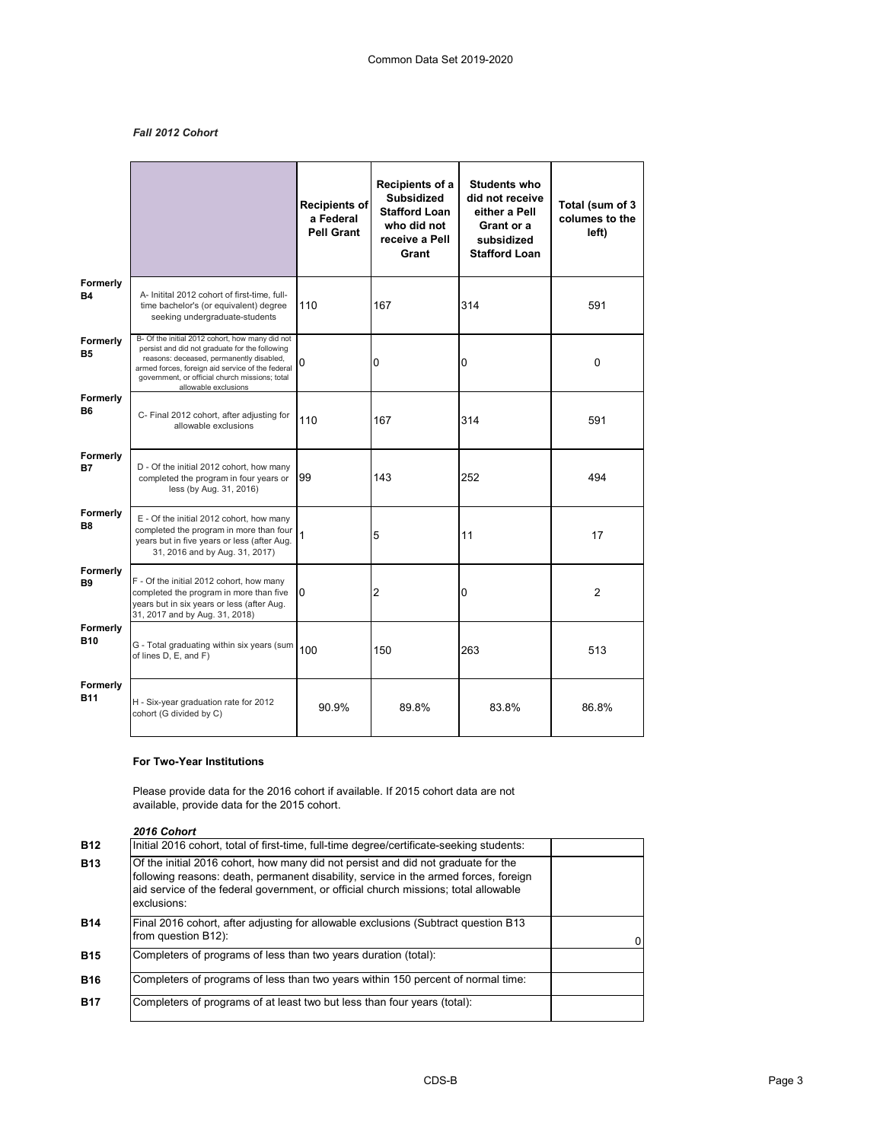# *Fall 2012 Cohort*

|                        |                                                                                                                                                                                                                                                                             | <b>Recipients of</b><br>a Federal<br><b>Pell Grant</b> | Recipients of a<br><b>Subsidized</b><br><b>Stafford Loan</b><br>who did not<br>receive a Pell<br>Grant | <b>Students who</b><br>did not receive<br>either a Pell<br>Grant or a<br>subsidized<br><b>Stafford Loan</b> | Total (sum of 3<br>columes to the<br>left) |
|------------------------|-----------------------------------------------------------------------------------------------------------------------------------------------------------------------------------------------------------------------------------------------------------------------------|--------------------------------------------------------|--------------------------------------------------------------------------------------------------------|-------------------------------------------------------------------------------------------------------------|--------------------------------------------|
| Formerly<br><b>B4</b>  | A- Initital 2012 cohort of first-time, full-<br>time bachelor's (or equivalent) degree<br>seeking undergraduate-students                                                                                                                                                    | 110                                                    | 167                                                                                                    | 314                                                                                                         | 591                                        |
| Formerly<br><b>B5</b>  | B- Of the initial 2012 cohort, how many did not<br>persist and did not graduate for the following<br>reasons: deceased, permanently disabled,<br>armed forces, foreign aid service of the federal<br>government, or official church missions; total<br>allowable exclusions | 0                                                      | 0                                                                                                      | 0                                                                                                           | 0                                          |
| Formerly<br><b>B6</b>  | C- Final 2012 cohort, after adjusting for<br>allowable exclusions                                                                                                                                                                                                           | 110                                                    | 167                                                                                                    | 314                                                                                                         | 591                                        |
| Formerly<br>В7         | D - Of the initial 2012 cohort, how many<br>completed the program in four years or<br>less (by Aug. 31, 2016)                                                                                                                                                               | 99                                                     | 143                                                                                                    | 252                                                                                                         | 494                                        |
| Formerly<br><b>B8</b>  | E - Of the initial 2012 cohort, how many<br>completed the program in more than four<br>years but in five years or less (after Aug.<br>31, 2016 and by Aug. 31, 2017)                                                                                                        | 1                                                      | 5                                                                                                      | 11                                                                                                          | 17                                         |
| Formerly<br><b>B9</b>  | F - Of the initial 2012 cohort, how many<br>completed the program in more than five<br>years but in six years or less (after Aug.<br>31, 2017 and by Aug. 31, 2018)                                                                                                         | $\Omega$                                               | 2                                                                                                      | 0                                                                                                           | $\overline{2}$                             |
| Formerly<br><b>B10</b> | G - Total graduating within six years (sum<br>of lines D, E, and F)                                                                                                                                                                                                         | 100                                                    | 150                                                                                                    | 263                                                                                                         | 513                                        |
| Formerly<br><b>B11</b> | H - Six-year graduation rate for 2012<br>cohort (G divided by C)                                                                                                                                                                                                            | 90.9%                                                  | 89.8%                                                                                                  | 83.8%                                                                                                       | 86.8%                                      |

### **For Two-Year Institutions**

Please provide data for the 2016 cohort if available. If 2015 cohort data are not available, provide data for the 2015 cohort.

*2016 Cohort*

| <b>B12</b> | Initial 2016 cohort, total of first-time, full-time degree/certificate-seeking students:                                                                                                                                                                                        |  |
|------------|---------------------------------------------------------------------------------------------------------------------------------------------------------------------------------------------------------------------------------------------------------------------------------|--|
| <b>B13</b> | Of the initial 2016 cohort, how many did not persist and did not graduate for the<br>following reasons: death, permanent disability, service in the armed forces, foreign<br>aid service of the federal government, or official church missions; total allowable<br>exclusions: |  |
| <b>B14</b> | Final 2016 cohort, after adjusting for allowable exclusions (Subtract question B13<br>from question B12):                                                                                                                                                                       |  |
| <b>B15</b> | Completers of programs of less than two years duration (total):                                                                                                                                                                                                                 |  |
| <b>B16</b> | Completers of programs of less than two years within 150 percent of normal time:                                                                                                                                                                                                |  |
| <b>B17</b> | Completers of programs of at least two but less than four years (total):                                                                                                                                                                                                        |  |